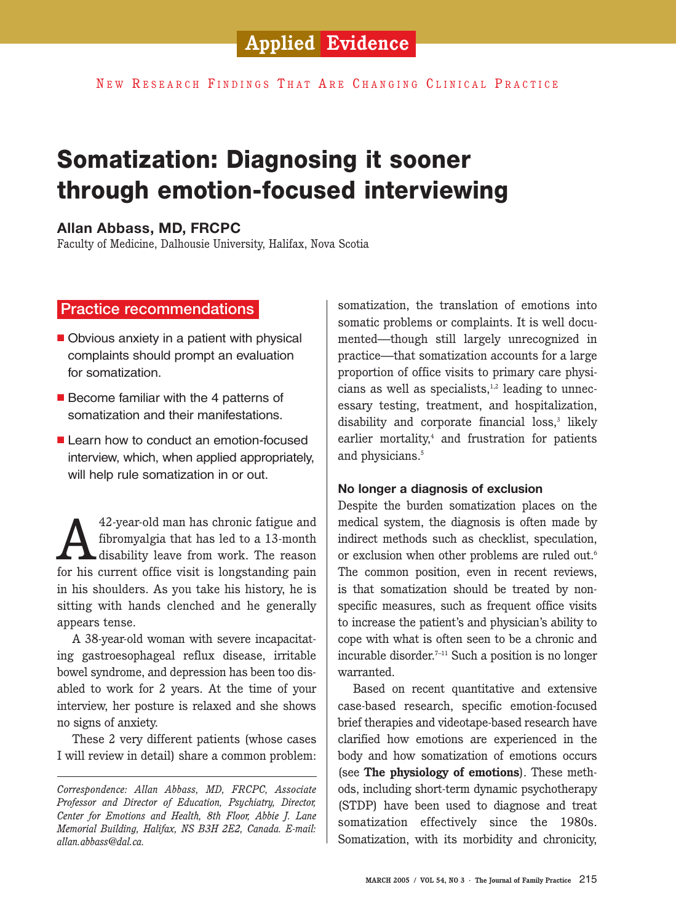## **Applied Evidence**

NEW RESEARCH FINDINGS THAT ARE CHANGING CLINICAL PRACTICE

# **Somatization: Diagnosing it sooner through emotion-focused interviewing**

## **Allan Abbass, MD, FRCPC**

Faculty of Medicine, Dalhousie University, Halifax, Nova Scotia

## Practice recommendations

- Obvious anxiety in a patient with physical complaints should prompt an evaluation for somatization.
- Become familiar with the 4 patterns of somatization and their manifestations.
- Learn how to conduct an emotion-focused interview, which, when applied appropriately, will help rule somatization in or out.

42-year-old man has chronic fatigue and<br>fibromyalgia that has led to a 13-month<br>disability leave from work. The reason<br>for his current office visit is longstanding pain fibromyalgia that has led to a 13-month disability leave from work. The reason for his current office visit is longstanding pain in his shoulders. As you take his history, he is sitting with hands clenched and he generally appears tense.

A 38-year-old woman with severe incapacitating gastroesophageal reflux disease, irritable bowel syndrome, and depression has been too disabled to work for 2 years. At the time of your interview, her posture is relaxed and she shows no signs of anxiety.

These 2 very different patients (whose cases I will review in detail) share a common problem: somatization, the translation of emotions into somatic problems or complaints. It is well documented—though still largely unrecognized in practice—that somatization accounts for a large proportion of office visits to primary care physicians as well as specialists, $1,2$  leading to unnecessary testing, treatment, and hospitalization, disability and corporate financial loss,<sup>3</sup> likely earlier mortality, $4$  and frustration for patients and physicians. 5

## **No longer a diagnosis of exclusion**

Despite the burden somatization places on the medical system, the diagnosis is often made by indirect methods such as checklist, speculation, or exclusion when other problems are ruled out.<sup>6</sup> The common position, even in recent reviews, is that somatization should be treated by nonspecific measures, such as frequent office visits to increase the patient's and physician's ability to cope with what is often seen to be a chronic and incurable disorder. $7-11$  Such a position is no longer warranted.

Based on recent quantitative and extensive case-based research, specific emotion-focused brief therapies and videotape-based research have clarified how emotions are experienced in the body and how somatization of emotions occurs (see **The physiology of emotions**). These methods, including short-term dynamic psychotherapy (STDP) have been used to diagnose and treat somatization effectively since the 1980s. Somatization, with its morbidity and chronicity,

*Correspondence: Allan Abbass, MD, FRCPC, Associate Professor and Director of Education, Psychiatry, Director, Center for Emotions and Health, 8th Floor, Abbie J. Lane Memorial Building, Halifax, NS B3H 2E2, Canada. E-mail: allan.abbass@dal.ca.*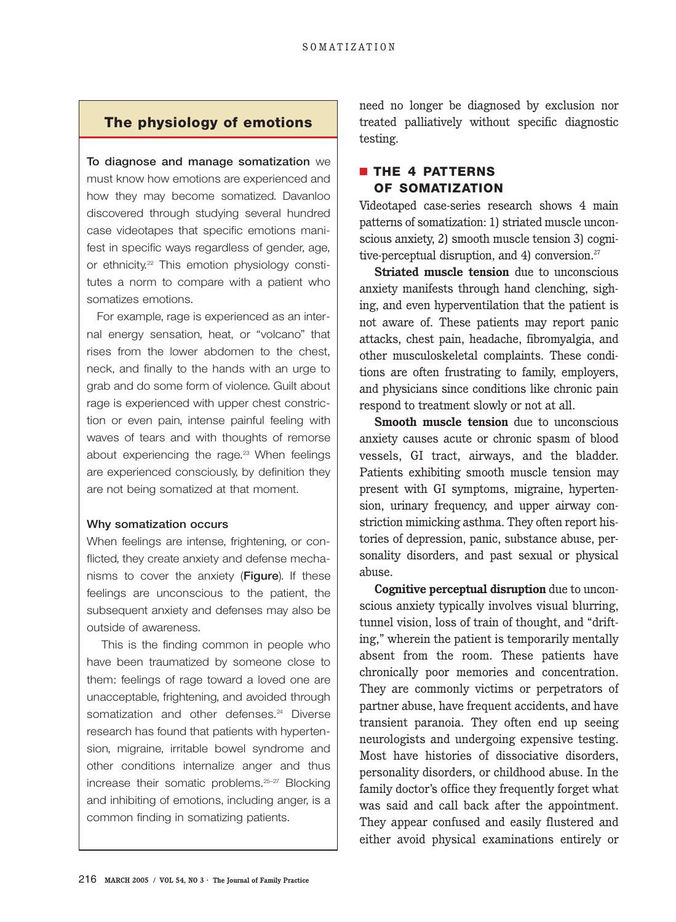## **The physiology of emotions**

To diagnose and manage somatization we must know how emotions are experienced and how they may become somatized. Davanloo discovered through studying several hundred case videotapes that specific emotions manifest in specific ways regardless of gender, age, or ethnicity.<sup>22</sup> This emotion physiology constitutes a norm to compare with a patient who somatizes emotions.

For example, rage is experienced as an internal energy sensation, heat, or "volcano" that rises from the lower abdomen to the chest, neck, and finally to the hands with an urge to grab and do some form of violence. Guilt about rage is experienced with upper chest constriction or even pain, intense painful feeling with waves of tears and with thoughts of remorse about experiencing the rage.<sup>23</sup> When feelings are experienced consciously, by definition they are not being somatized at that moment.

#### Why somatization occurs

When feelings are intense, frightening, or conflicted, they create anxiety and defense mechanisms to cover the anxiety (Figure). If these feelings are unconscious to the patient, the subsequent anxiety and defenses may also be outside of awareness.

This is the finding common in people who have been traumatized by someone close to them: feelings of rage toward a loved one are unacceptable, frightening, and avoided through somatization and other defenses.<sup>24</sup> Diverse research has found that patients with hypertension, migraine, irritable bowel syndrome and other conditions internalize anger and thus increase their somatic problems.25–27 Blocking and inhibiting of emotions, including anger, is a common finding in somatizing patients.

need no longer be diagnosed by exclusion nor treated palliatively without specific diagnostic testing.

## ■ **THE 4 PATTERNS OF SOMATIZATION**

Videotaped case-series research shows 4 main patterns of somatization: 1) striated muscle unconscious anxiety, 2) smooth muscle tension 3) cognitive-perceptual disruption, and 4) conversion.<sup>27</sup>

**Striated muscle tension** due to unconscious anxiety manifests through hand clenching, sighing, and even hyperventilation that the patient is not aware of. These patients may report panic attacks, chest pain, headache, fibromyalgia, and other musculoskeletal complaints. These conditions are often frustrating to family, employers, and physicians since conditions like chronic pain respond to treatment slowly or not at all.

**Smooth muscle tension** due to unconscious anxiety causes acute or chronic spasm of blood vessels, GI tract, airways, and the bladder. Patients exhibiting smooth muscle tension may present with GI symptoms, migraine, hypertension, urinary frequency, and upper airway constriction mimicking asthma. They often report histories of depression, panic, substance abuse, personality disorders, and past sexual or physical abuse.

**Cognitive perceptual disruption** due to unconscious anxiety typically involves visual blurring, tunnel vision, loss of train of thought, and "drifting," wherein the patient is temporarily mentally absent from the room. These patients have chronically poor memories and concentration. They are commonly victims or perpetrators of partner abuse, have frequent accidents, and have transient paranoia. They often end up seeing neurologists and undergoing expensive testing. Most have histories of dissociative disorders, personality disorders, or childhood abuse. In the family doctor's office they frequently forget what was said and call back after the appointment. They appear confused and easily flustered and either avoid physical examinations entirely or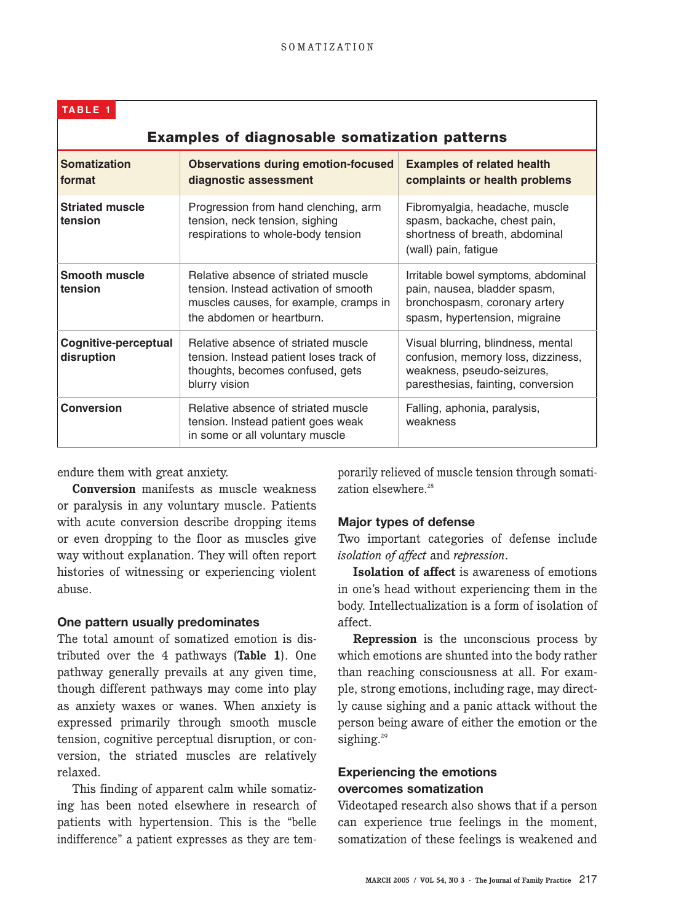| TABLE <sub>1</sub>                                   |                                                                                                                                                     |                                                                                                                                              |  |
|------------------------------------------------------|-----------------------------------------------------------------------------------------------------------------------------------------------------|----------------------------------------------------------------------------------------------------------------------------------------------|--|
| <b>Examples of diagnosable somatization patterns</b> |                                                                                                                                                     |                                                                                                                                              |  |
| <b>Somatization</b><br>format                        | <b>Observations during emotion-focused</b><br>diagnostic assessment                                                                                 | <b>Examples of related health</b><br>complaints or health problems                                                                           |  |
| <b>Striated muscle</b><br>tension                    | Progression from hand clenching, arm<br>tension, neck tension, sighing<br>respirations to whole-body tension                                        | Fibromyalgia, headache, muscle<br>spasm, backache, chest pain,<br>shortness of breath, abdominal<br>(wall) pain, fatigue                     |  |
| <b>Smooth muscle</b><br>tension                      | Relative absence of striated muscle<br>tension. Instead activation of smooth<br>muscles causes, for example, cramps in<br>the abdomen or heartburn. | Irritable bowel symptoms, abdominal<br>pain, nausea, bladder spasm,<br>bronchospasm, coronary artery<br>spasm, hypertension, migraine        |  |
| Cognitive-perceptual<br>disruption                   | Relative absence of striated muscle<br>tension. Instead patient loses track of<br>thoughts, becomes confused, gets<br>blurry vision                 | Visual blurring, blindness, mental<br>confusion, memory loss, dizziness,<br>weakness, pseudo-seizures,<br>paresthesias, fainting, conversion |  |
| <b>Conversion</b>                                    | Relative absence of striated muscle<br>tension. Instead patient goes weak<br>in some or all voluntary muscle                                        | Falling, aphonia, paralysis,<br>weakness                                                                                                     |  |

endure them with great anxiety.

**Conversion** manifests as muscle weakness or paralysis in any voluntary muscle. Patients with acute conversion describe dropping items or even dropping to the floor as muscles give way without explanation. They will often report histories of witnessing or experiencing violent abuse.

## **One pattern usually predominates**

The total amount of somatized emotion is distributed over the 4 pathways (**Table 1**). One pathway generally prevails at any given time, though different pathways may come into play as anxiety waxes or wanes. When anxiety is expressed primarily through smooth muscle tension, cognitive perceptual disruption, or conversion, the striated muscles are relatively relaxed.

This finding of apparent calm while somatizing has been noted elsewhere in research of patients with hypertension. This is the "belle indifference" a patient expresses as they are tem-

porarily relieved of muscle tension through somatization elsewhere.<sup>28</sup>

#### **Major types of defense**

Two important categories of defense include *isolation of affect* and *repression*.

**Isolation of affect** is awareness of emotions in one's head without experiencing them in the body. Intellectualization is a form of isolation of affect.

**Repression** is the unconscious process by which emotions are shunted into the body rather than reaching consciousness at all. For example, strong emotions, including rage, may directly cause sighing and a panic attack without the person being aware of either the emotion or the sighing.<sup>29</sup>

## **Experiencing the emotions overcomes somatization**

Videotaped research also shows that if a person can experience true feelings in the moment, somatization of these feelings is weakened and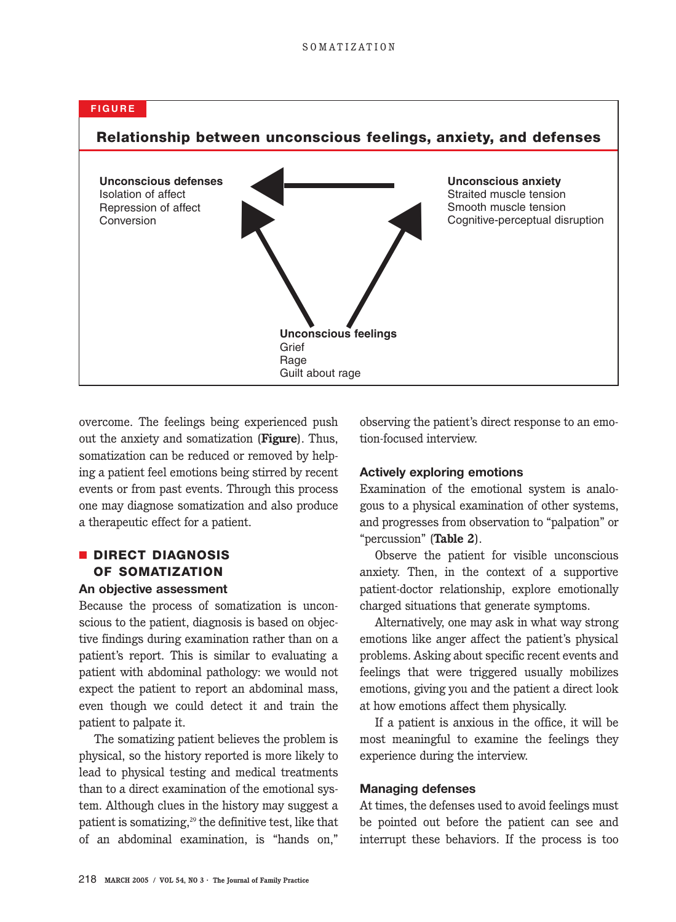

overcome. The feelings being experienced push out the anxiety and somatization (**Figure**). Thus, somatization can be reduced or removed by helping a patient feel emotions being stirred by recent events or from past events. Through this process one may diagnose somatization and also produce a therapeutic effect for a patient.

## ■ **DIRECT DIAGNOSIS OF SOMATIZATION**

## **An objective assessment**

Because the process of somatization is unconscious to the patient, diagnosis is based on objective findings during examination rather than on a patient's report. This is similar to evaluating a patient with abdominal pathology: we would not expect the patient to report an abdominal mass, even though we could detect it and train the patient to palpate it.

The somatizing patient believes the problem is physical, so the history reported is more likely to lead to physical testing and medical treatments than to a direct examination of the emotional system. Although clues in the history may suggest a patient is somatizing, $29$  the definitive test, like that of an abdominal examination, is "hands on,"

observing the patient's direct response to an emotion-focused interview.

#### **Actively exploring emotions**

Examination of the emotional system is analogous to a physical examination of other systems, and progresses from observation to "palpation" or "percussion" (**Table 2**).

Observe the patient for visible unconscious anxiety. Then, in the context of a supportive patient-doctor relationship, explore emotionally charged situations that generate symptoms.

Alternatively, one may ask in what way strong emotions like anger affect the patient's physical problems. Asking about specific recent events and feelings that were triggered usually mobilizes emotions, giving you and the patient a direct look at how emotions affect them physically.

If a patient is anxious in the office, it will be most meaningful to examine the feelings they experience during the interview.

#### **Managing defenses**

At times, the defenses used to avoid feelings must be pointed out before the patient can see and interrupt these behaviors. If the process is too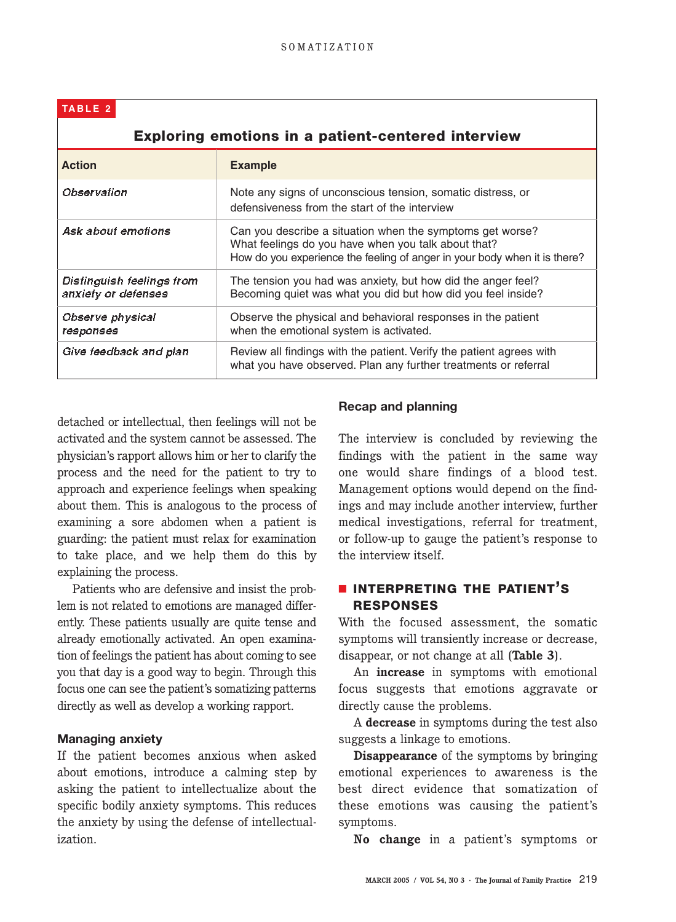## **TABLE 2**

| <b>Exploring emotions in a patient-centered interview</b> |                                                                                                                                                                                               |  |  |
|-----------------------------------------------------------|-----------------------------------------------------------------------------------------------------------------------------------------------------------------------------------------------|--|--|
| <b>Action</b>                                             | <b>Example</b>                                                                                                                                                                                |  |  |
| Observation                                               | Note any signs of unconscious tension, somatic distress, or<br>defensiveness from the start of the interview                                                                                  |  |  |
| Ask about emotions                                        | Can you describe a situation when the symptoms get worse?<br>What feelings do you have when you talk about that?<br>How do you experience the feeling of anger in your body when it is there? |  |  |
| Distinguish feelings from<br>anxiety or defenses          | The tension you had was anxiety, but how did the anger feel?<br>Becoming quiet was what you did but how did you feel inside?                                                                  |  |  |
| <i><b>Observe physical</b></i><br>responses               | Observe the physical and behavioral responses in the patient<br>when the emotional system is activated.                                                                                       |  |  |
| Give feedback and plan                                    | Review all findings with the patient. Verify the patient agrees with<br>what you have observed. Plan any further treatments or referral                                                       |  |  |

detached or intellectual, then feelings will not be activated and the system cannot be assessed. The physician's rapport allows him or her to clarify the process and the need for the patient to try to approach and experience feelings when speaking about them. This is analogous to the process of examining a sore abdomen when a patient is guarding: the patient must relax for examination to take place, and we help them do this by explaining the process.

Patients who are defensive and insist the problem is not related to emotions are managed differently. These patients usually are quite tense and already emotionally activated. An open examination of feelings the patient has about coming to see you that day is a good way to begin. Through this focus one can see the patient's somatizing patterns directly as well as develop a working rapport.

#### **Managing anxiety**

If the patient becomes anxious when asked about emotions, introduce a calming step by asking the patient to intellectualize about the specific bodily anxiety symptoms. This reduces the anxiety by using the defense of intellectualization.

#### **Recap and planning**

The interview is concluded by reviewing the findings with the patient in the same way one would share findings of a blood test. Management options would depend on the findings and may include another interview, further medical investigations, referral for treatment, or follow-up to gauge the patient's response to the interview itself.

## ■ **INTERPRETING THE PATIENT'S RESPONSES**

With the focused assessment, the somatic symptoms will transiently increase or decrease, disappear, or not change at all (**Table 3**).

An **increase** in symptoms with emotional focus suggests that emotions aggravate or directly cause the problems.

A **decrease** in symptoms during the test also suggests a linkage to emotions.

**Disappearance** of the symptoms by bringing emotional experiences to awareness is the best direct evidence that somatization of these emotions was causing the patient's symptoms.

**No change** in a patient's symptoms or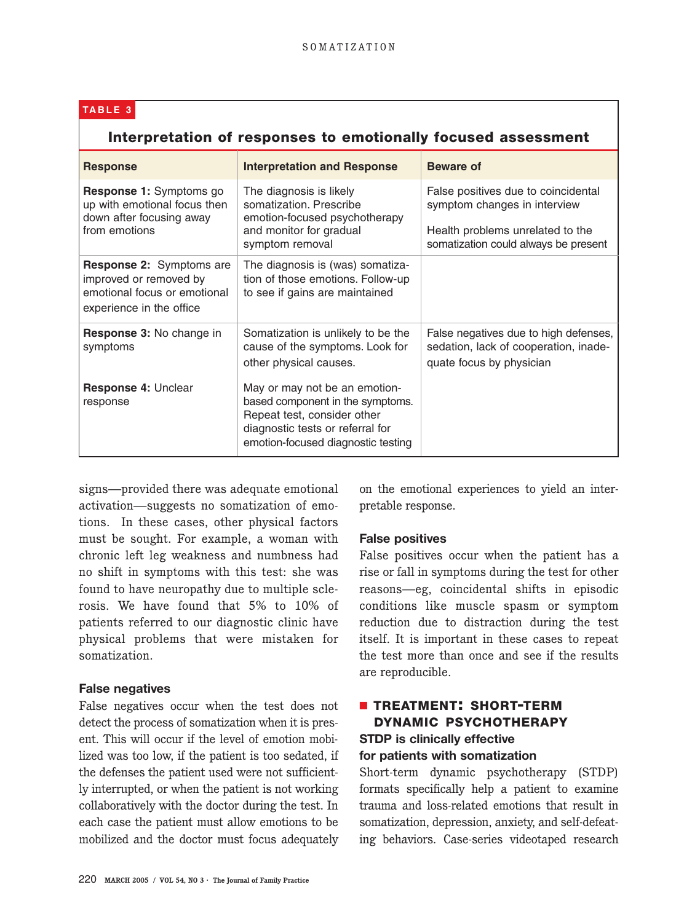## **TABLE 3**

## **Interpretation of responses to emotionally focused assessment**

| <b>Response</b>                                                                                                       | <b>Interpretation and Response</b>                                                                                                                                         | <b>Beware of</b>                                                                                                                                |
|-----------------------------------------------------------------------------------------------------------------------|----------------------------------------------------------------------------------------------------------------------------------------------------------------------------|-------------------------------------------------------------------------------------------------------------------------------------------------|
| <b>Response 1:</b> Symptoms go<br>up with emotional focus then<br>down after focusing away<br>from emotions           | The diagnosis is likely<br>somatization. Prescribe<br>emotion-focused psychotherapy<br>and monitor for gradual<br>symptom removal                                          | False positives due to coincidental<br>symptom changes in interview<br>Health problems unrelated to the<br>somatization could always be present |
| <b>Response 2:</b> Symptoms are<br>improved or removed by<br>emotional focus or emotional<br>experience in the office | The diagnosis is (was) somatiza-<br>tion of those emotions. Follow-up<br>to see if gains are maintained                                                                    |                                                                                                                                                 |
| <b>Response 3: No change in</b><br>symptoms                                                                           | Somatization is unlikely to be the<br>cause of the symptoms. Look for<br>other physical causes.                                                                            | False negatives due to high defenses,<br>sedation, lack of cooperation, inade-<br>quate focus by physician                                      |
| <b>Response 4: Unclear</b><br>response                                                                                | May or may not be an emotion-<br>based component in the symptoms.<br>Repeat test, consider other<br>diagnostic tests or referral for<br>emotion-focused diagnostic testing |                                                                                                                                                 |

signs—provided there was adequate emotional activation—suggests no somatization of emotions. In these cases, other physical factors must be sought. For example, a woman with chronic left leg weakness and numbness had no shift in symptoms with this test: she was found to have neuropathy due to multiple sclerosis. We have found that 5% to 10% of patients referred to our diagnostic clinic have physical problems that were mistaken for somatization.

#### **False negatives**

False negatives occur when the test does not detect the process of somatization when it is present. This will occur if the level of emotion mobilized was too low, if the patient is too sedated, if the defenses the patient used were not sufficiently interrupted, or when the patient is not working collaboratively with the doctor during the test. In each case the patient must allow emotions to be mobilized and the doctor must focus adequately on the emotional experiences to yield an interpretable response.

## **False positives**

False positives occur when the patient has a rise or fall in symptoms during the test for other reasons—eg, coincidental shifts in episodic conditions like muscle spasm or symptom reduction due to distraction during the test itself. It is important in these cases to repeat the test more than once and see if the results are reproducible.

## ■ **TREATMENT: SHORT-TERM DYNAMIC PSYCHOTHERAPY STDP is clinically effective for patients with somatization**

Short-term dynamic psychotherapy (STDP) formats specifically help a patient to examine trauma and loss-related emotions that result in somatization, depression, anxiety, and self-defeating behaviors. Case-series videotaped research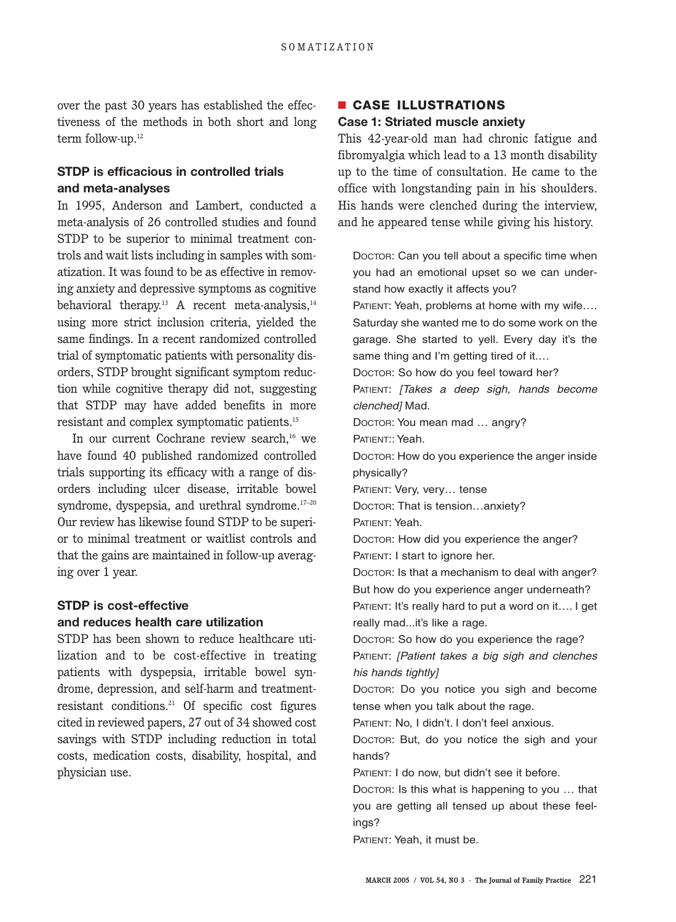over the past 30 years has established the effectiveness of the methods in both short and long term follow-up.<sup>12</sup>

## **STDP is efficacious in controlled trials and meta-analyses**

In 1995, Anderson and Lambert, conducted a meta-analysis of 26 controlled studies and found STDP to be superior to minimal treatment controls and wait lists including in samples with somatization. It was found to be as effective in removing anxiety and depressive symptoms as cognitive behavioral therapy.<sup>13</sup> A recent meta-analysis,<sup>14</sup> using more strict inclusion criteria, yielded the same findings. In a recent randomized controlled trial of symptomatic patients with personality disorders, STDP brought significant symptom reduction while cognitive therapy did not, suggesting that STDP may have added benefits in more resistant and complex symptomatic patients.15

In our current Cochrane review search,<sup>16</sup> we have found 40 published randomized controlled trials supporting its efficacy with a range of disorders including ulcer disease, irritable bowel syndrome, dyspepsia, and urethral syndrome.<sup>17-20</sup> Our review has likewise found STDP to be superior to minimal treatment or waitlist controls and that the gains are maintained in follow-up averaging over 1 year.

## **STDP is cost-effective and reduces health care utilization**

STDP has been shown to reduce healthcare utilization and to be cost-effective in treating patients with dyspepsia, irritable bowel syndrome, depression, and self-harm and treatmentresistant conditions.21 Of specific cost figures cited in reviewed papers, 27 out of 34 showed cost savings with STDP including reduction in total costs, medication costs, disability, hospital, and physician use.

## ■ **CASE ILLUSTRATIONS Case 1: Striated muscle anxiety**

This 42-year-old man had chronic fatigue and fibromyalgia which lead to a 13 month disability up to the time of consultation. He came to the office with longstanding pain in his shoulders. His hands were clenched during the interview, and he appeared tense while giving his history.

DOCTOR: Can you tell about a specific time when you had an emotional upset so we can understand how exactly it affects you? PATIENT: Yeah, problems at home with my wife…. Saturday she wanted me to do some work on the garage. She started to yell. Every day it's the same thing and I'm getting tired of it.… DOCTOR: So how do you feel toward her? PATIENT: [Takes a deep sigh, hands become clenched] Mad. DOCTOR: You mean mad … angry? PATIENT:: Yeah. DOCTOR: How do you experience the anger inside physically? PATIENT: Very, very… tense DOCTOR: That is tension…anxiety? PATIENT: Yeah. DOCTOR: How did you experience the anger? PATIENT: I start to ignore her. DOCTOR: Is that a mechanism to deal with anger? But how do you experience anger underneath? PATIENT: It's really hard to put a word on it…. I get really mad...it's like a rage. DOCTOR: So how do you experience the rage? PATIENT: [Patient takes a big sigh and clenches his hands tightly] DOCTOR: Do you notice you sigh and become tense when you talk about the rage. PATIENT: No, I didn't. I don't feel anxious. DOCTOR: But, do you notice the sigh and your hands? PATIENT: I do now, but didn't see it before. DOCTOR: Is this what is happening to you … that

you are getting all tensed up about these feelings?

PATIENT: Yeah, it must be.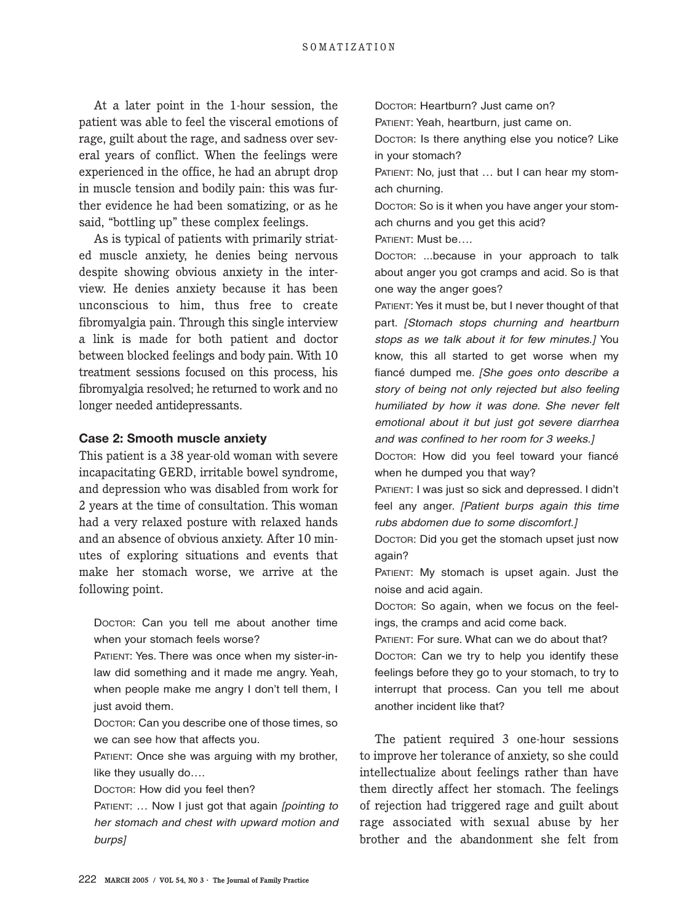At a later point in the 1-hour session, the patient was able to feel the visceral emotions of rage, guilt about the rage, and sadness over several years of conflict. When the feelings were experienced in the office, he had an abrupt drop in muscle tension and bodily pain: this was further evidence he had been somatizing, or as he said, "bottling up" these complex feelings.

As is typical of patients with primarily striated muscle anxiety, he denies being nervous despite showing obvious anxiety in the interview. He denies anxiety because it has been unconscious to him, thus free to create fibromyalgia pain. Through this single interview a link is made for both patient and doctor between blocked feelings and body pain. With 10 treatment sessions focused on this process, his fibromyalgia resolved; he returned to work and no longer needed antidepressants.

#### **Case 2: Smooth muscle anxiety**

This patient is a 38 year-old woman with severe incapacitating GERD, irritable bowel syndrome, and depression who was disabled from work for 2 years at the time of consultation. This woman had a very relaxed posture with relaxed hands and an absence of obvious anxiety. After 10 minutes of exploring situations and events that make her stomach worse, we arrive at the following point.

DOCTOR: Can you tell me about another time when your stomach feels worse?

PATIENT: Yes. There was once when my sister-inlaw did something and it made me angry. Yeah, when people make me angry I don't tell them, I just avoid them.

DOCTOR: Can you describe one of those times, so we can see how that affects you.

PATIENT: Once she was arguing with my brother, like they usually do….

DOCTOR: How did you feel then?

PATIENT: ... Now I just got that again [pointing to her stomach and chest with upward motion and burps]

DOCTOR: Heartburn? Just came on?

PATIENT: Yeah, heartburn, just came on.

DOCTOR: Is there anything else you notice? Like in your stomach?

PATIENT: No, just that ... but I can hear my stomach churning.

DOCTOR: So is it when you have anger your stomach churns and you get this acid?

PATIENT: Must be….

DOCTOR: ...because in your approach to talk about anger you got cramps and acid. So is that one way the anger goes?

PATIENT: Yes it must be, but I never thought of that part. [Stomach stops churning and heartburn stops as we talk about it for few minutes.] You know, this all started to get worse when my fiancé dumped me. [She goes onto describe a story of being not only rejected but also feeling humiliated by how it was done. She never felt emotional about it but just got severe diarrhea and was confined to her room for 3 weeks.]

DOCTOR: How did you feel toward your fiancé when he dumped you that way?

PATIENT: I was just so sick and depressed. I didn't feel any anger. [Patient burps again this time rubs abdomen due to some discomfort.]

DOCTOR: Did you get the stomach upset just now again?

PATIENT: My stomach is upset again. Just the noise and acid again.

DOCTOR: So again, when we focus on the feelings, the cramps and acid come back.

PATIENT: For sure. What can we do about that? DOCTOR: Can we try to help you identify these feelings before they go to your stomach, to try to interrupt that process. Can you tell me about another incident like that?

The patient required 3 one-hour sessions to improve her tolerance of anxiety, so she could intellectualize about feelings rather than have them directly affect her stomach. The feelings of rejection had triggered rage and guilt about rage associated with sexual abuse by her brother and the abandonment she felt from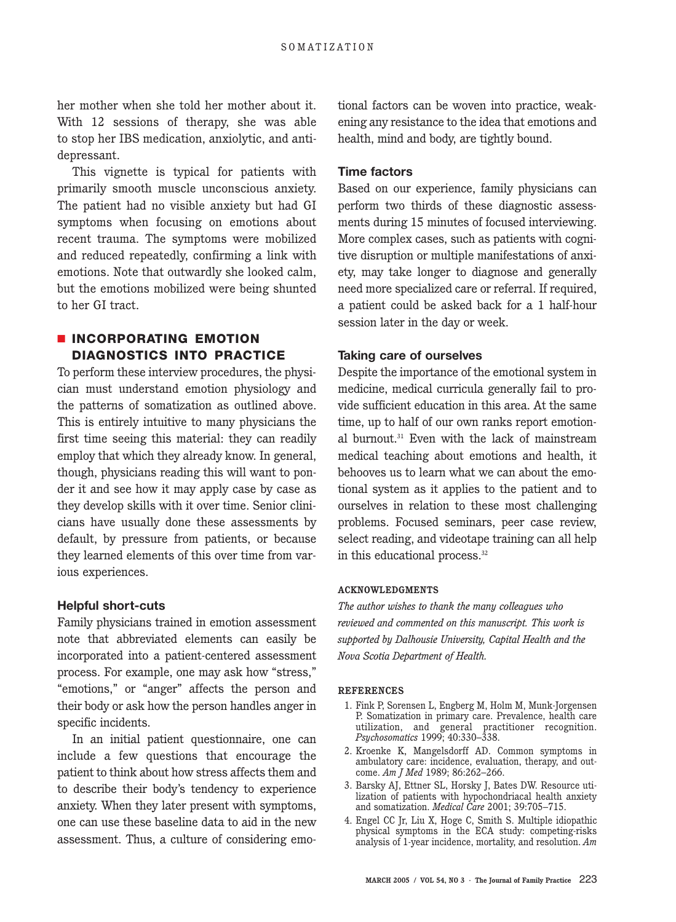her mother when she told her mother about it. With 12 sessions of therapy, she was able to stop her IBS medication, anxiolytic, and antidepressant.

This vignette is typical for patients with primarily smooth muscle unconscious anxiety. The patient had no visible anxiety but had GI symptoms when focusing on emotions about recent trauma. The symptoms were mobilized and reduced repeatedly, confirming a link with emotions. Note that outwardly she looked calm, but the emotions mobilized were being shunted to her GI tract.

## ■ **INCORPORATING EMOTION DIAGNOSTICS INTO PRACTICE**

To perform these interview procedures, the physician must understand emotion physiology and the patterns of somatization as outlined above. This is entirely intuitive to many physicians the first time seeing this material: they can readily employ that which they already know. In general, though, physicians reading this will want to ponder it and see how it may apply case by case as they develop skills with it over time. Senior clinicians have usually done these assessments by default, by pressure from patients, or because they learned elements of this over time from various experiences.

#### **Helpful short-cuts**

Family physicians trained in emotion assessment note that abbreviated elements can easily be incorporated into a patient-centered assessment process. For example, one may ask how "stress," "emotions," or "anger" affects the person and their body or ask how the person handles anger in specific incidents.

In an initial patient questionnaire, one can include a few questions that encourage the patient to think about how stress affects them and to describe their body's tendency to experience anxiety. When they later present with symptoms, one can use these baseline data to aid in the new assessment. Thus, a culture of considering emotional factors can be woven into practice, weakening any resistance to the idea that emotions and health, mind and body, are tightly bound.

#### **Time factors**

Based on our experience, family physicians can perform two thirds of these diagnostic assessments during 15 minutes of focused interviewing. More complex cases, such as patients with cognitive disruption or multiple manifestations of anxiety, may take longer to diagnose and generally need more specialized care or referral. If required, a patient could be asked back for a 1 half-hour session later in the day or week.

#### **Taking care of ourselves**

Despite the importance of the emotional system in medicine, medical curricula generally fail to provide sufficient education in this area. At the same time, up to half of our own ranks report emotional burnout.31 Even with the lack of mainstream medical teaching about emotions and health, it behooves us to learn what we can about the emotional system as it applies to the patient and to ourselves in relation to these most challenging problems. Focused seminars, peer case review, select reading, and videotape training can all help in this educational process.<sup>32</sup>

#### **ACKNOWLEDGMENTS**

*The author wishes to thank the many colleagues who reviewed and commented on this manuscript. This work is supported by Dalhousie University, Capital Health and the Nova Scotia Department of Health.*

#### **REFERENCES**

- 1. Fink P, Sorensen L, Engberg M, Holm M, Munk-Jorgensen P. Somatization in primary care. Prevalence, health care utilization, and general practitioner recognition. *Psychosomatics* 1999; 40:330–338.
- 2. Kroenke K, Mangelsdorff AD. Common symptoms in ambulatory care: incidence, evaluation, therapy, and outcome. *Am J Med* 1989; 86:262–266.
- 3. Barsky AJ, Ettner SL, Horsky J, Bates DW. Resource utilization of patients with hypochondriacal health anxiety and somatization. *Medical Care* 2001; 39:705–715.
- 4. Engel CC Jr, Liu X, Hoge C, Smith S. Multiple idiopathic physical symptoms in the ECA study: competing-risks analysis of 1-year incidence, mortality, and resolution. *Am*